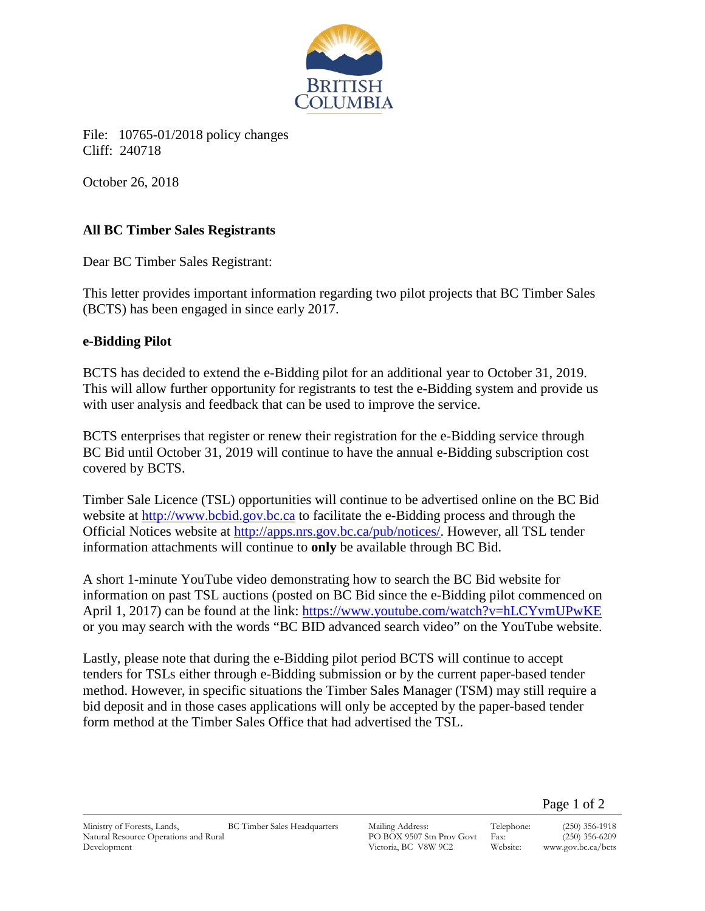

File: 10765-01/2018 policy changes Cliff: 240718

October 26, 2018

## **All BC Timber Sales Registrants**

Dear BC Timber Sales Registrant:

This letter provides important information regarding two pilot projects that BC Timber Sales (BCTS) has been engaged in since early 2017.

## **e-Bidding Pilot**

BCTS has decided to extend the e-Bidding pilot for an additional year to October 31, 2019. This will allow further opportunity for registrants to test the e-Bidding system and provide us with user analysis and feedback that can be used to improve the service.

BCTS enterprises that register or renew their registration for the e-Bidding service through BC Bid until October 31, 2019 will continue to have the annual e-Bidding subscription cost covered by BCTS.

Timber Sale Licence (TSL) opportunities will continue to be advertised online on the BC Bid website at [http://www.bcbid.gov.bc.ca](http://www.bcbid.gov.bc.ca/) to facilitate the e-Bidding process and through the Official Notices website at [http://apps.nrs.gov.bc.ca/pub/notices/.](http://apps.nrs.gov.bc.ca/pub/notices/) However, all TSL tender information attachments will continue to **only** be available through BC Bid.

A short 1-minute YouTube video demonstrating how to search the BC Bid website for information on past TSL auctions (posted on BC Bid since the e-Bidding pilot commenced on April 1, 2017) can be found at the link: <https://www.youtube.com/watch?v=hLCYvmUPwKE> or you may search with the words "BC BID advanced search video" on the YouTube website.

Lastly, please note that during the e-Bidding pilot period BCTS will continue to accept tenders for TSLs either through e-Bidding submission or by the current paper-based tender method. However, in specific situations the Timber Sales Manager (TSM) may still require a bid deposit and in those cases applications will only be accepted by the paper-based tender form method at the Timber Sales Office that had advertised the TSL.

PO BOX 9507 Stn Prov Govt Victoria, BC V8W 9C2

Telephone: (250) 356-1918 Fax: (250) 356-6209<br>Website: www.gov.bc.ca/bcts www.gov.bc.ca/bcts